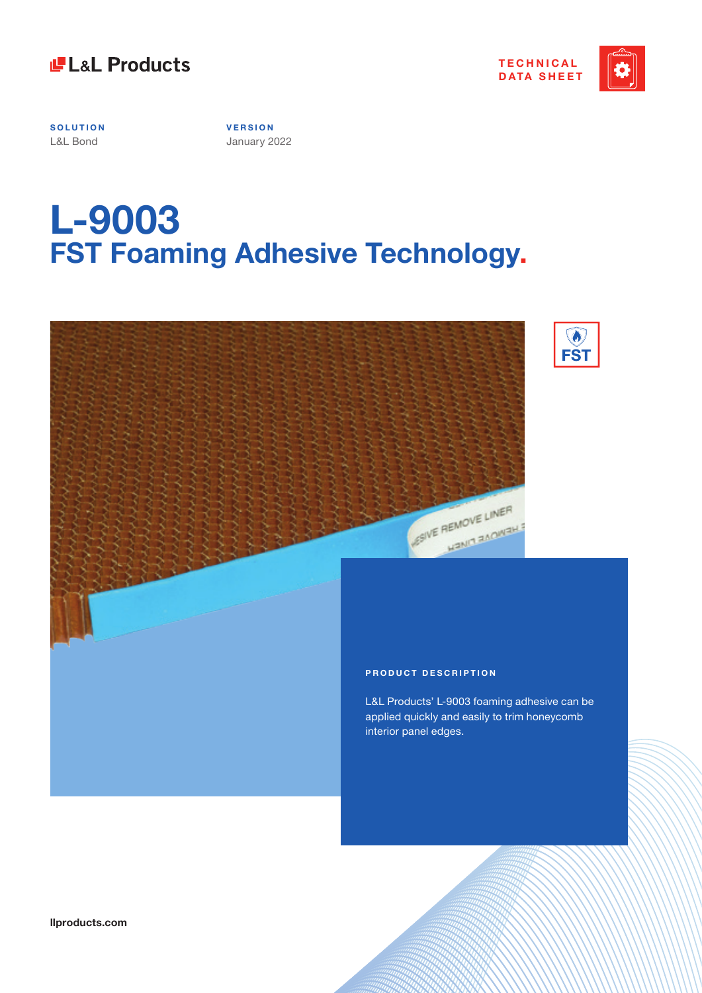



**SOLUTION** L&L Bond

**V E R S I O N**  January 2022

# **L-9003 FST Foaming Adhesive Technology.**



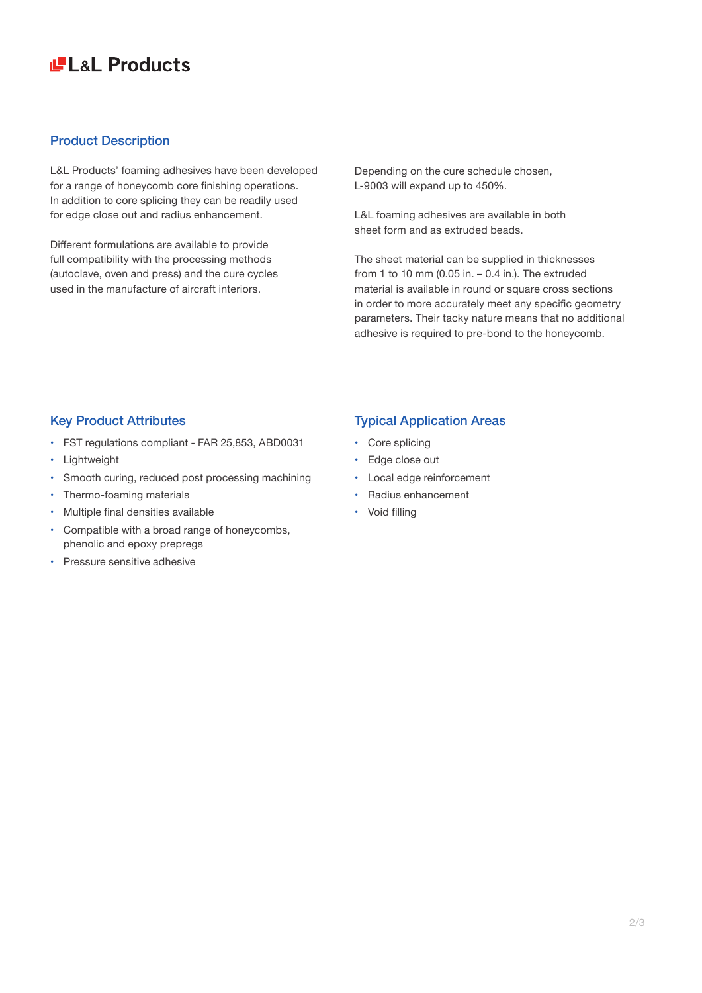## **LE LaL Products**

### Product Description

L&L Products' foaming adhesives have been developed for a range of honeycomb core finishing operations. In addition to core splicing they can be readily used for edge close out and radius enhancement.

Different formulations are available to provide full compatibility with the processing methods (autoclave, oven and press) and the cure cycles used in the manufacture of aircraft interiors.

Depending on the cure schedule chosen, L-9003 will expand up to 450%.

L&L foaming adhesives are available in both sheet form and as extruded beads.

The sheet material can be supplied in thicknesses from 1 to 10 mm (0.05 in.  $-$  0.4 in.). The extruded material is available in round or square cross sections in order to more accurately meet any specific geometry parameters. Their tacky nature means that no additional adhesive is required to pre-bond to the honeycomb.

### Key Product Attributes

- • FST regulations compliant FAR 25,853, ABD0031
- • Lightweight
- Smooth curing, reduced post processing machining
- Thermo-foaming materials
- • Multiple final densities available
- • Compatible with a broad range of honeycombs, phenolic and epoxy prepregs
- Pressure sensitive adhesive

### Typical Application Areas

- Core splicing
- Edge close out
- Local edge reinforcement
- • Radius enhancement
- Void filling